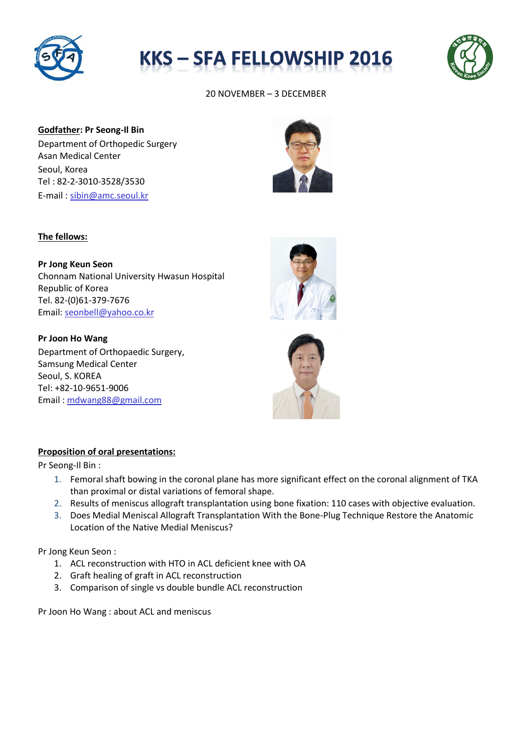





20 NOVEMBER – 3 DECEMBER

**Godfather: Pr Seong-Il Bin** Department of Orthopedic Surgery Asan Medical Center Seoul, Korea Tel : 82-2-3010-3528/3530 E-mail : [sibin@amc.seoul.kr](mailto:sibin@amc.seoul.kr)



## **The fellows:**

**Pr Jong Keun Seon** Chonnam National University Hwasun Hospital Republic of Korea Tel. 82-(0)61-379-7676 Email[: seonbell@yahoo.co.kr](mailto:seonbell@yahoo.co.kr)

**Pr Joon Ho Wang**  Department of Orthopaedic Surgery, Samsung Medical Center Seoul, S. KOREA Tel: +82-10-9651-9006 Email : [mdwang88@gmail.com](mailto:mdwang88@gmail.com)





#### **Proposition of oral presentations:**

Pr Seong-Il Bin :

- 1. [Femoral shaft bowing in the coronal plane has more significant effect on the coronal alignment of TKA](http://www.ncbi.nlm.nih.gov.ssl.libproxy.amc.seoul.kr:8000/pubmed/24760162)  [than proximal or distal variations of femoral shape.](http://www.ncbi.nlm.nih.gov.ssl.libproxy.amc.seoul.kr:8000/pubmed/24760162)
- 2. [Results of meniscus allograft transplantation using bone fixation: 110 cases with objective evaluation.](http://www.ncbi.nlm.nih.gov.ssl.libproxy.amc.seoul.kr:8000/pubmed/22374943)
- 3. [Does Medial Meniscal Allograft Transplantation With the Bone-Plug Technique Restore the Anatomic](http://www.ncbi.nlm.nih.gov.ssl.libproxy.amc.seoul.kr:8000/pubmed/26435447)  [Location of the Native Medial Meniscus?](http://www.ncbi.nlm.nih.gov.ssl.libproxy.amc.seoul.kr:8000/pubmed/26435447)

Pr Jong Keun Seon :

- 1. ACL reconstruction with HTO in ACL deficient knee with OA
- 2. Graft healing of graft in ACL reconstruction
- 3. Comparison of single vs double bundle ACL reconstruction

Pr Joon Ho Wang : about ACL and meniscus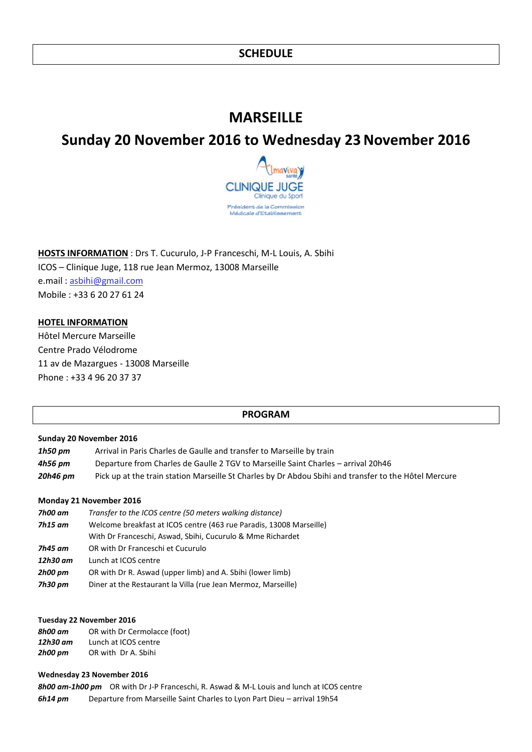# **MARSEILLE**

# **Sunday 20 November 2016 to Wednesday 23November 2016**



**HOSTS INFORMATION** : Drs T. Cucurulo, J-P Franceschi, M-L Louis, A. Sbihi ICOS – Clinique Juge, 118 rue Jean Mermoz, 13008 Marseille e.mail : [asbihi@gmail.com](mailto:asbihi@gmail.com) Mobile : +33 6 20 27 61 24

#### **HOTEL INFORMATION**

Hôtel Mercure Marseille Centre Prado Vélodrome 11 av de Mazargues - 13008 Marseille Phone : +33 4 96 20 37 37

#### **PROGRAM**

#### **Sunday 20 November 2016**

| $1h50$ pm | Arrival in Paris Charles de Gaulle and transfer to Marseille by train                                 |
|-----------|-------------------------------------------------------------------------------------------------------|
| 4h56 pm   | Departure from Charles de Gaulle 2 TGV to Marseille Saint Charles – arrival 20h46                     |
| 20h46 pm  | Pick up at the train station Marseille St Charles by Dr Abdou Sbihi and transfer to the Hôtel Mercure |

#### **Monday 21 November 2016**

| 7h00 am  | Transfer to the ICOS centre (50 meters walking distance)            |
|----------|---------------------------------------------------------------------|
| 7h15 am  | Welcome breakfast at ICOS centre (463 rue Paradis, 13008 Marseille) |
|          | With Dr Franceschi, Aswad, Sbihi, Cucurulo & Mme Richardet          |
| 7h45 am  | OR with Dr Franceschi et Cucurulo                                   |
| 12h30 am | Lunch at ICOS centre                                                |
| 2h00 pm  | OR with Dr R. Aswad (upper limb) and A. Sbihi (lower limb)          |
| 7h30 pm  | Diner at the Restaurant la Villa (rue Jean Mermoz, Marseille)       |
|          |                                                                     |

#### **Tuesday 22 November 2016**

| 8h00 am  | OR with Dr Cermolacce (foot) |
|----------|------------------------------|
| 12h30 am | Lunch at ICOS centre         |
| 2h00 pm  | OR with Dr A. Sbihi          |

#### **Wednesday 23 November 2016**

*8h00 am-1h00 pm* OR with Dr J-P Franceschi, R. Aswad & M-L Louis and lunch at ICOS centre *6h14 pm* Departure from Marseille Saint Charles to Lyon Part Dieu – arrival 19h54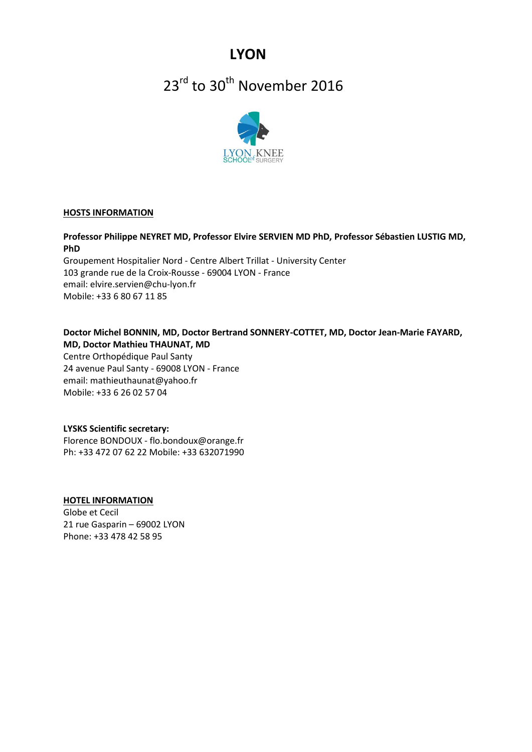**LYON**

# 23<sup>rd</sup> to 30<sup>th</sup> November 2016



#### **HOSTS INFORMATION**

**Professor Philippe NEYRET MD, Professor Elvire SERVIEN MD PhD, Professor Sébastien LUSTIG MD, PhD** 

Groupement Hospitalier Nord - Centre Albert Trillat - University Center 103 grande rue de la Croix-Rousse - 69004 LYON - France email: elvire.servien@chu-lyon.fr Mobile: +33 6 80 67 11 85

#### **Doctor Michel BONNIN, MD, Doctor Bertrand SONNERY-COTTET, MD, Doctor Jean-Marie FAYARD, MD, Doctor Mathieu THAUNAT, MD**

Centre Orthopédique Paul Santy 24 avenue Paul Santy - 69008 LYON - France email: mathieuthaunat@yahoo.fr Mobile: +33 6 26 02 57 04

#### **LYSKS Scientific secretary:**

Florence BONDOUX - flo.bondoux@orange.fr Ph: +33 472 07 62 22 Mobile: +33 632071990

#### **HOTEL INFORMATION**

Globe et Cecil 21 rue Gasparin – 69002 LYON Phone: +33 478 42 58 95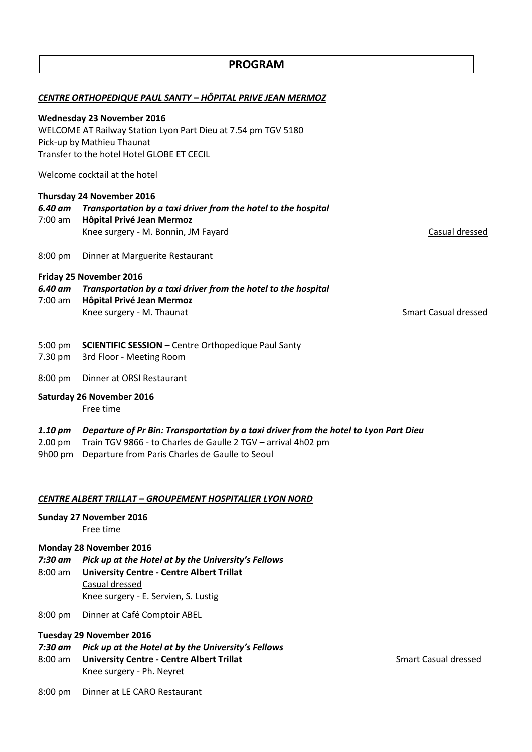| CENTRE ORTHOPEDIQUE PAUL SANTY - HÔPITAL PRIVE JEAN MERMOZ    |                                                                                                                                                        |                             |  |  |
|---------------------------------------------------------------|--------------------------------------------------------------------------------------------------------------------------------------------------------|-----------------------------|--|--|
|                                                               | <b>Wednesday 23 November 2016</b>                                                                                                                      |                             |  |  |
| WELCOME AT Railway Station Lyon Part Dieu at 7.54 pm TGV 5180 |                                                                                                                                                        |                             |  |  |
|                                                               | Pick-up by Mathieu Thaunat<br>Transfer to the hotel Hotel GLOBE ET CECIL                                                                               |                             |  |  |
|                                                               |                                                                                                                                                        |                             |  |  |
|                                                               | Welcome cocktail at the hotel                                                                                                                          |                             |  |  |
| Thursday 24 November 2016                                     |                                                                                                                                                        |                             |  |  |
| 6.40 am<br>$7:00$ am                                          | Transportation by a taxi driver from the hotel to the hospital<br>Hôpital Privé Jean Mermoz                                                            |                             |  |  |
|                                                               | Knee surgery - M. Bonnin, JM Fayard                                                                                                                    | Casual dressed              |  |  |
| $8:00$ pm                                                     | Dinner at Marguerite Restaurant                                                                                                                        |                             |  |  |
|                                                               | Friday 25 November 2016                                                                                                                                |                             |  |  |
| 6.40 am<br>$7:00$ am                                          | Transportation by a taxi driver from the hotel to the hospital<br>Hôpital Privé Jean Mermoz                                                            |                             |  |  |
|                                                               | Knee surgery - M. Thaunat                                                                                                                              | <b>Smart Casual dressed</b> |  |  |
|                                                               |                                                                                                                                                        |                             |  |  |
| 5:00 pm<br>7.30 pm                                            | <b>SCIENTIFIC SESSION - Centre Orthopedique Paul Santy</b><br>3rd Floor - Meeting Room                                                                 |                             |  |  |
| 8:00 pm                                                       | Dinner at ORSI Restaurant                                                                                                                              |                             |  |  |
| <b>Saturday 26 November 2016</b><br>Free time                 |                                                                                                                                                        |                             |  |  |
| $1.10\,$ pm<br>$2.00$ pm                                      | Departure of Pr Bin: Transportation by a taxi driver from the hotel to Lyon Part Dieu<br>Train TGV 9866 - to Charles de Gaulle 2 TGV - arrival 4h02 pm |                             |  |  |

**PROGRAM**

9h00 pm Departure from Paris Charles de Gaulle to Seoul

#### *CENTRE ALBERT TRILLAT – GROUPEMENT HOSPITALIER LYON NORD*

#### **Sunday 27 November 2016**

Free time

#### **Monday 28 November 2016**

- *7:30 am Pick up at the Hotel at by the University's Fellows*
- 8:00 am **University Centre - Centre Albert Trillat** Casual dressed Knee surgery - E. Servien, S. Lustig
- 8:00 pm Dinner at Café Comptoir ABEL

## **Tuesday 29 November 2016**

- *7:30 am Pick up at the Hotel at by the University's Fellows*
- 8:00 am **University Centre Centre Albert Trillat** Smart Casual dressed Knee surgery - Ph. Neyret
- 

8:00 pm Dinner at LE CARO Restaurant